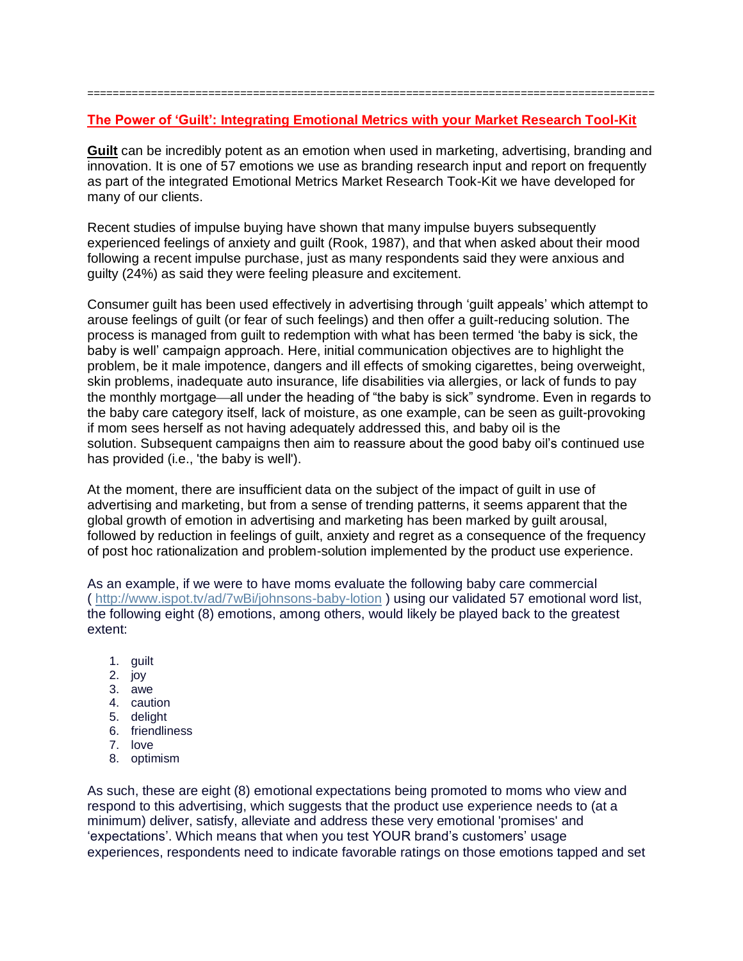## **The Power of 'Guilt': Integrating Emotional Metrics with your Market Research Tool-Kit**

=========================================================================================

**Guilt** can be incredibly potent as an emotion when used in marketing, advertising, branding and innovation. It is one of 57 emotions we use as branding research input and report on frequently as part of the integrated Emotional Metrics Market Research Took-Kit we have developed for many of our clients.

Recent studies of impulse buying have shown that many impulse buyers subsequently experienced feelings of anxiety and guilt (Rook, 1987), and that when asked about their mood following a recent impulse purchase, just as many respondents said they were anxious and guilty (24%) as said they were feeling pleasure and excitement.

Consumer guilt has been used effectively in advertising through 'guilt appeals' which attempt to arouse feelings of guilt (or fear of such feelings) and then offer a guilt-reducing solution. The process is managed from guilt to redemption with what has been termed 'the baby is sick, the baby is well' campaign approach. Here, initial communication objectives are to highlight the problem, be it male impotence, dangers and ill effects of smoking cigarettes, being overweight, skin problems, inadequate auto insurance, life disabilities via allergies, or lack of funds to pay the monthly mortgage—all under the heading of "the baby is sick" syndrome. Even in regards to the baby care category itself, lack of moisture, as one example, can be seen as guilt-provoking if mom sees herself as not having adequately addressed this, and baby oil is the solution. Subsequent campaigns then aim to reassure about the good baby oil's continued use has provided (i.e., 'the baby is well').

At the moment, there are insufficient data on the subject of the impact of guilt in use of advertising and marketing, but from a sense of trending patterns, it seems apparent that the global growth of emotion in advertising and marketing has been marked by guilt arousal, followed by reduction in feelings of guilt, anxiety and regret as a consequence of the frequency of post hoc rationalization and problem-solution implemented by the product use experience.

As an example, if we were to have moms evaluate the following baby care commercial (<http://www.ispot.tv/ad/7wBi/johnsons-baby-lotion> ) using our validated 57 emotional word list, the following eight (8) emotions, among others, would likely be played back to the greatest extent:

- 1. guilt
- 2. joy
- 3. awe
- 4. caution
- 5. delight
- 6. friendliness
- 7. love
- 8. optimism

As such, these are eight (8) emotional expectations being promoted to moms who view and respond to this advertising, which suggests that the product use experience needs to (at a minimum) deliver, satisfy, alleviate and address these very emotional 'promises' and 'expectations'. Which means that when you test YOUR brand's customers' usage experiences, respondents need to indicate favorable ratings on those emotions tapped and set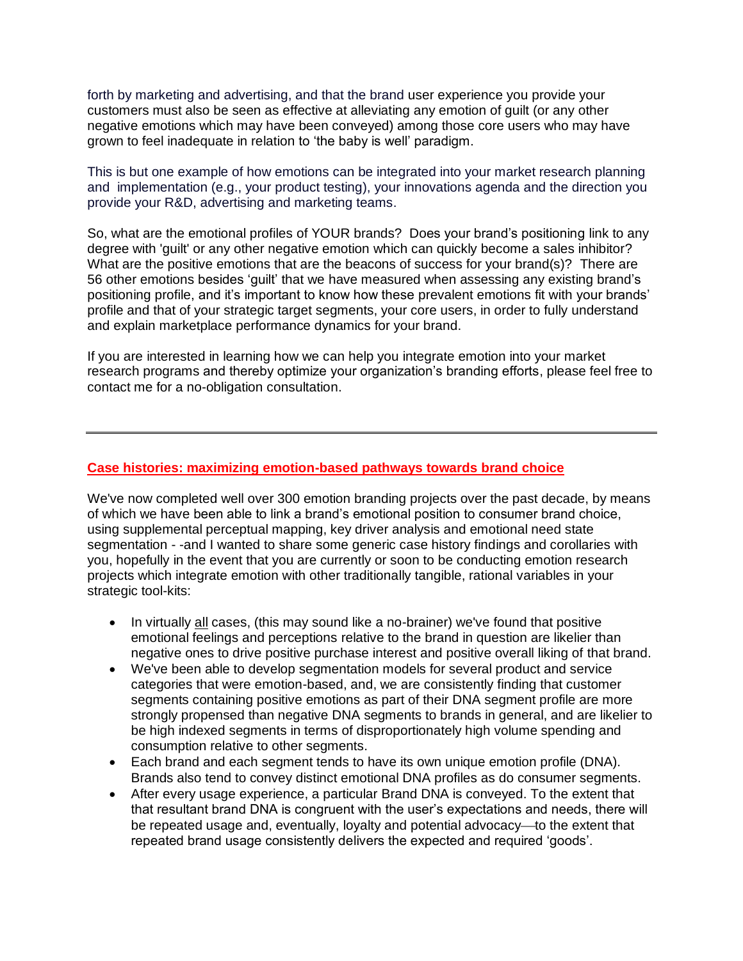forth by marketing and advertising, and that the brand user experience you provide your customers must also be seen as effective at alleviating any emotion of guilt (or any other negative emotions which may have been conveyed) among those core users who may have grown to feel inadequate in relation to 'the baby is well' paradigm.

This is but one example of how emotions can be integrated into your market research planning and implementation (e.g., your product testing), your innovations agenda and the direction you provide your R&D, advertising and marketing teams.

So, what are the emotional profiles of YOUR brands? Does your brand's positioning link to any degree with 'guilt' or any other negative emotion which can quickly become a sales inhibitor? What are the positive emotions that are the beacons of success for your brand(s)? There are 56 other emotions besides 'guilt' that we have measured when assessing any existing brand's positioning profile, and it's important to know how these prevalent emotions fit with your brands' profile and that of your strategic target segments, your core users, in order to fully understand and explain marketplace performance dynamics for your brand.

If you are interested in learning how we can help you integrate emotion into your market research programs and thereby optimize your organization's branding efforts, please feel free to contact me for a no-obligation consultation.

## **Case histories: maximizing emotion-based pathways towards brand choice**

We've now completed well over 300 emotion branding projects over the past decade, by means of which we have been able to link a brand's emotional position to consumer brand choice, using supplemental perceptual mapping, key driver analysis and emotional need state segmentation - -and I wanted to share some generic case history findings and corollaries with you, hopefully in the event that you are currently or soon to be conducting emotion research projects which integrate emotion with other traditionally tangible, rational variables in your strategic tool-kits:

- In virtually all cases, (this may sound like a no-brainer) we've found that positive emotional feelings and perceptions relative to the brand in question are likelier than negative ones to drive positive purchase interest and positive overall liking of that brand.
- We've been able to develop segmentation models for several product and service categories that were emotion-based, and, we are consistently finding that customer segments containing positive emotions as part of their DNA segment profile are more strongly propensed than negative DNA segments to brands in general, and are likelier to be high indexed segments in terms of disproportionately high volume spending and consumption relative to other segments.
- Each brand and each segment tends to have its own unique emotion profile (DNA). Brands also tend to convey distinct emotional DNA profiles as do consumer segments.
- After every usage experience, a particular Brand DNA is conveyed. To the extent that that resultant brand DNA is congruent with the user's expectations and needs, there will be repeated usage and, eventually, loyalty and potential advocacy—to the extent that repeated brand usage consistently delivers the expected and required 'goods'.